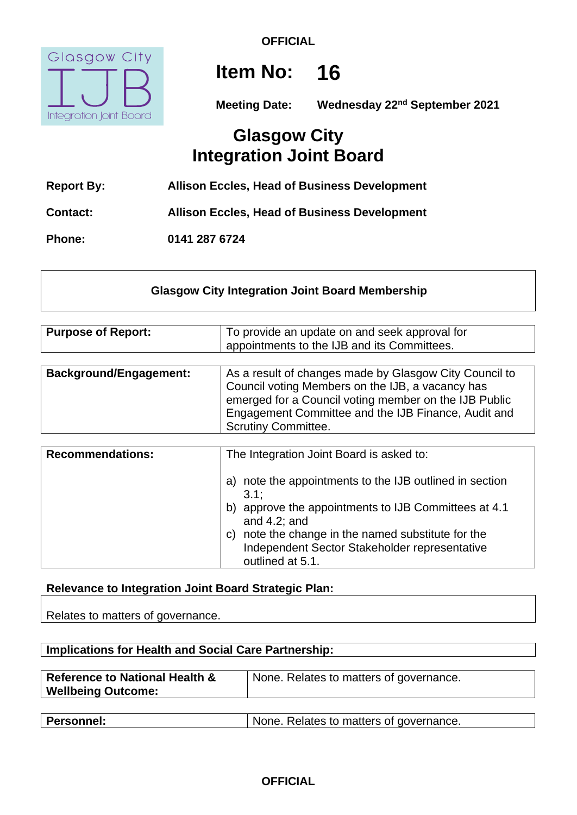

**OFFICIAL**

# **Item No: 16**

**Meeting Date:** Wednesday 22<sup>nd</sup> September 2021

## **Glasgow City Integration Joint Board**

| <b>Report By:</b> | <b>Allison Eccles, Head of Business Development</b> |
|-------------------|-----------------------------------------------------|
| <b>Contact:</b>   | <b>Allison Eccles, Head of Business Development</b> |
| <b>Phone:</b>     | 0141 287 6724                                       |

## **Glasgow City Integration Joint Board Membership**

| <b>Purpose of Report:</b>     | To provide an update on and seek approval for<br>appointments to the IJB and its Committees.                                                                                                                                                             |
|-------------------------------|----------------------------------------------------------------------------------------------------------------------------------------------------------------------------------------------------------------------------------------------------------|
| <b>Background/Engagement:</b> | As a result of changes made by Glasgow City Council to<br>Council voting Members on the IJB, a vacancy has<br>emerged for a Council voting member on the IJB Public<br>Engagement Committee and the IJB Finance, Audit and<br><b>Scrutiny Committee.</b> |

| <b>Recommendations:</b> | The Integration Joint Board is asked to:                                                                                                                                                                                                                   |
|-------------------------|------------------------------------------------------------------------------------------------------------------------------------------------------------------------------------------------------------------------------------------------------------|
|                         | note the appointments to the IJB outlined in section<br>a)<br>3.1:<br>approve the appointments to IJB Committees at 4.1<br>b)<br>and $4.2$ ; and<br>note the change in the named substitute for the<br>C)<br>Independent Sector Stakeholder representative |
|                         | outlined at 5.1.                                                                                                                                                                                                                                           |

## **Relevance to Integration Joint Board Strategic Plan:**

Relates to matters of governance.

| Implications for Health and Social Care Partnership:                   |                                         |  |
|------------------------------------------------------------------------|-----------------------------------------|--|
| <b>Reference to National Health &amp;</b><br><b>Wellbeing Outcome:</b> | None. Relates to matters of governance. |  |
|                                                                        |                                         |  |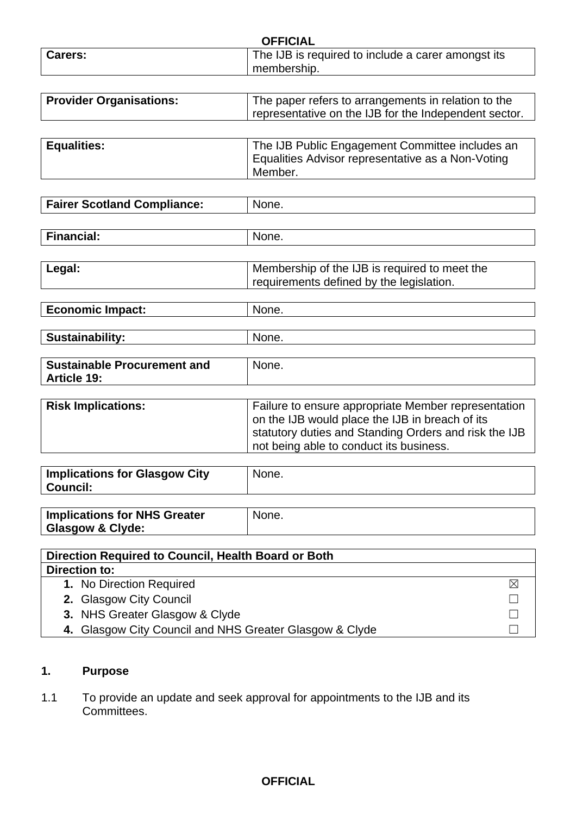|                                                          | <b>OFFICIAL</b>                                                                                              |
|----------------------------------------------------------|--------------------------------------------------------------------------------------------------------------|
| Carers:                                                  | The IJB is required to include a carer amongst its                                                           |
|                                                          | membership.                                                                                                  |
|                                                          |                                                                                                              |
| <b>Provider Organisations:</b>                           | The paper refers to arrangements in relation to the<br>representative on the IJB for the Independent sector. |
|                                                          |                                                                                                              |
| <b>Equalities:</b>                                       | The IJB Public Engagement Committee includes an                                                              |
|                                                          | Equalities Advisor representative as a Non-Voting                                                            |
|                                                          | Member.                                                                                                      |
|                                                          | None.                                                                                                        |
| <b>Fairer Scotland Compliance:</b>                       |                                                                                                              |
| <b>Financial:</b>                                        | None.                                                                                                        |
|                                                          |                                                                                                              |
| Legal:                                                   | Membership of the IJB is required to meet the                                                                |
|                                                          | requirements defined by the legislation.                                                                     |
| <b>Economic Impact:</b>                                  | None.                                                                                                        |
|                                                          |                                                                                                              |
| <b>Sustainability:</b>                                   | None.                                                                                                        |
|                                                          |                                                                                                              |
| <b>Sustainable Procurement and</b><br><b>Article 19:</b> | None.                                                                                                        |
|                                                          |                                                                                                              |
| <b>Risk Implications:</b>                                | Failure to ensure appropriate Member representation                                                          |
|                                                          | on the IJB would place the IJB in breach of its                                                              |
|                                                          | statutory duties and Standing Orders and risk the IJB                                                        |
|                                                          | not being able to conduct its business.                                                                      |
| <b>Implications for Glasgow City</b>                     | None.                                                                                                        |
| <b>Council:</b>                                          |                                                                                                              |
| <b>Implications for NHS Greater</b>                      | None.                                                                                                        |
| <b>Glasgow &amp; Clyde:</b>                              |                                                                                                              |
|                                                          |                                                                                                              |
| Direction Required to Council, Health Board or Both      |                                                                                                              |
| <b>Direction to:</b>                                     |                                                                                                              |
| 1. No Direction Required                                 | ⊠                                                                                                            |
| 2. Glasgow City Council                                  |                                                                                                              |
| 3. NHS Greater Glasgow & Clyde                           |                                                                                                              |
| 4. Glasgow City Council and NHS Greater Glasgow & Clyde  |                                                                                                              |

## **1. Purpose**

1.1 To provide an update and seek approval for appointments to the IJB and its Committees.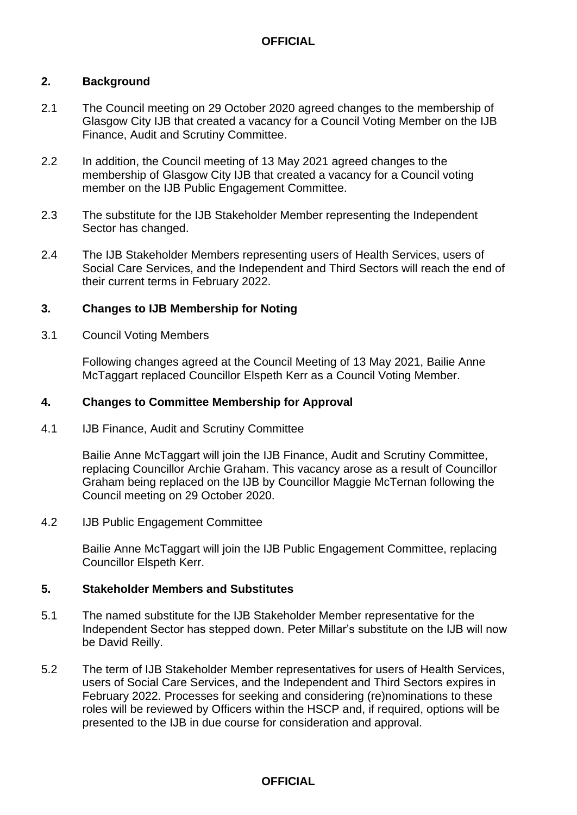### **OFFICIAL**

#### **2. Background**

- 2.1 The Council meeting on 29 October 2020 agreed changes to the membership of Glasgow City IJB that created a vacancy for a Council Voting Member on the IJB Finance, Audit and Scrutiny Committee.
- 2.2 In addition, the Council meeting of 13 May 2021 agreed changes to the membership of Glasgow City IJB that created a vacancy for a Council voting member on the IJB Public Engagement Committee.
- 2.3 The substitute for the IJB Stakeholder Member representing the Independent Sector has changed.
- 2.4 The IJB Stakeholder Members representing users of Health Services, users of Social Care Services, and the Independent and Third Sectors will reach the end of their current terms in February 2022.

#### **3. Changes to IJB Membership for Noting**

3.1 Council Voting Members

Following changes agreed at the Council Meeting of 13 May 2021, Bailie Anne McTaggart replaced Councillor Elspeth Kerr as a Council Voting Member.

#### **4. Changes to Committee Membership for Approval**

4.1 IJB Finance, Audit and Scrutiny Committee

Bailie Anne McTaggart will join the IJB Finance, Audit and Scrutiny Committee, replacing Councillor Archie Graham. This vacancy arose as a result of Councillor Graham being replaced on the IJB by Councillor Maggie McTernan following the Council meeting on 29 October 2020.

#### 4.2 IJB Public Engagement Committee

Bailie Anne McTaggart will join the IJB Public Engagement Committee, replacing Councillor Elspeth Kerr.

#### **5. Stakeholder Members and Substitutes**

- 5.1 The named substitute for the IJB Stakeholder Member representative for the Independent Sector has stepped down. Peter Millar's substitute on the IJB will now be David Reilly.
- 5.2 The term of IJB Stakeholder Member representatives for users of Health Services, users of Social Care Services, and the Independent and Third Sectors expires in February 2022. Processes for seeking and considering (re)nominations to these roles will be reviewed by Officers within the HSCP and, if required, options will be presented to the IJB in due course for consideration and approval.

#### **OFFICIAL**